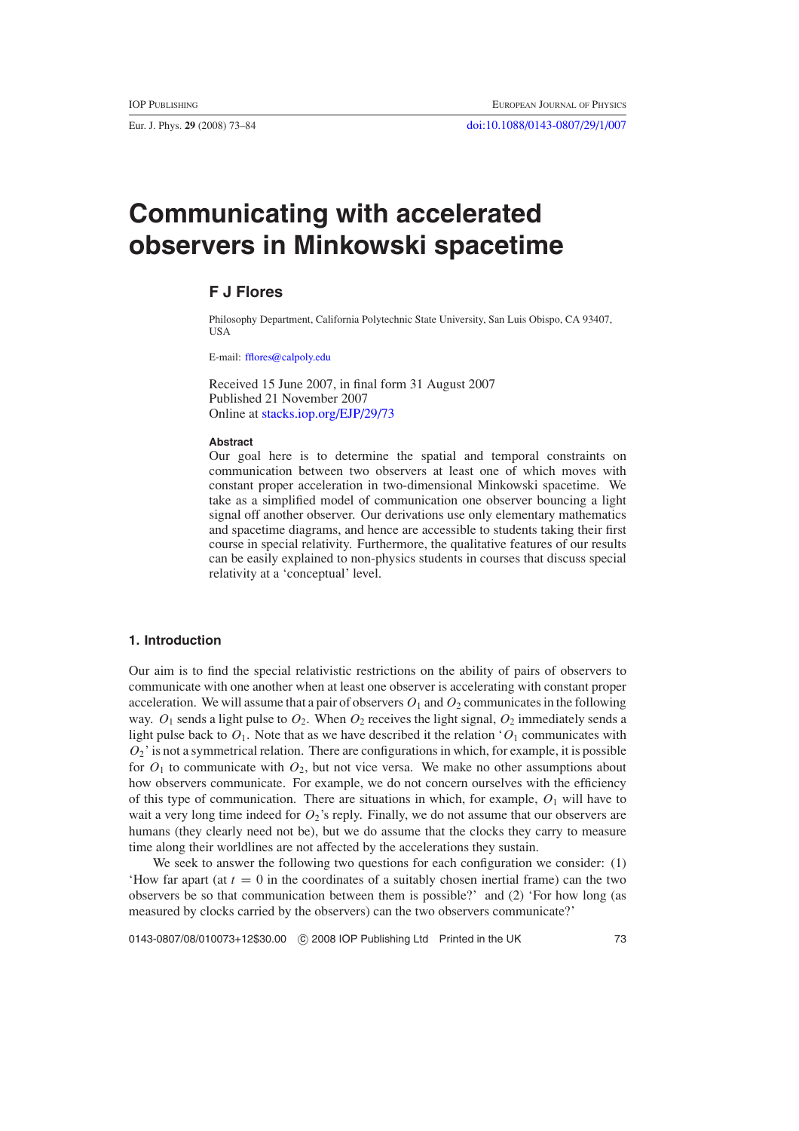<span id="page-0-0"></span>

# **Communicating with accelerated observers in Minkowski spacetime**

# **F J Flores**

Philosophy Department, California Polytechnic State University, San Luis Obispo, CA 93407, USA

E-mail: [fflores@calpoly.edu](mailto:fflores@calpoly.edu) 

Received 15 June 2007, in final form 31 August 2007 Published 21 November 2007 Online at [stacks.iop.org/EJP/29/73](http://stacks.iop.org/EJP/29/73) 

#### **Abstract**

Our goal here is to determine the spatial and temporal constraints on communication between two observers at least one of which moves with constant proper acceleration in two-dimensional Minkowski spacetime. We take as a simplified model of communication one observer bouncing a light signal off another observer. Our derivations use only elementary mathematics and spacetime diagrams, and hence are accessible to students taking their first course in special relativity. Furthermore, the qualitative features of our results can be easily explained to non-physics students in courses that discuss special relativity at a 'conceptual' level.

## **1. Introduction**

Our aim is to find the special relativistic restrictions on the ability of pairs of observers to communicate with one another when at least one observer is accelerating with constant proper acceleration. We will assume that a pair of observers  $O_1$  and  $O_2$  communicates in the following way.  $O_1$  sends a light pulse to  $O_2$ . When  $O_2$  receives the light signal,  $O_2$  immediately sends a light pulse back to  $O_1$ . Note that as we have described it the relation ' $O_1$  communicates with  $O_2$ <sup>'</sup> is not a symmetrical relation. There are configurations in which, for example, it is possible for  $O_1$  to communicate with  $O_2$ , but not vice versa. We make no other assumptions about how observers communicate. For example, we do not concern ourselves with the efficiency of this type of communication. There are situations in which, for example,  $O_1$  will have to wait a very long time indeed for  $O_2$ 's reply. Finally, we do not assume that our observers are humans (they clearly need not be), but we do assume that the clocks they carry to measure time along their worldlines are not affected by the accelerations they sustain.

We seek to answer the following two questions for each configuration we consider: (1) 'How far apart (at  $t = 0$  in the coordinates of a suitably chosen inertial frame) can the two observers be so that communication between them is possible?' and (2) 'For how long (as measured by clocks carried by the observers) can the two observers communicate?'

0143-0807/08/010073+12\$30.00 © 2008 IOP Publishing Ltd Printed in the UK 73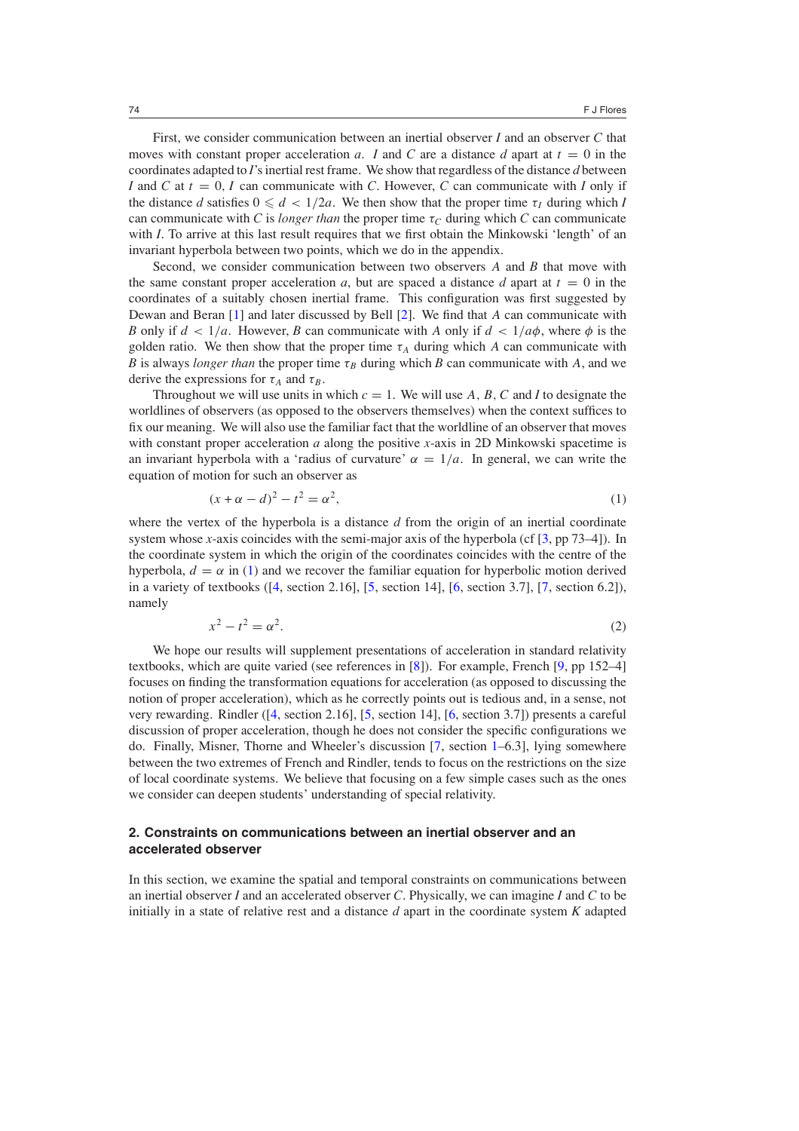<span id="page-1-0"></span>First, we consider communication between an inertial observer *I* and an observer *C* that moves with constant proper acceleration *a*. *I* and *C* are a distance *d* apart at  $t = 0$  in the coordinates adapted to *I*'s inertial rest frame. We show that regardless of the distance *d* between *I* and *C* at  $t = 0$ , *I* can communicate with *C*. However, *C* can communicate with *I* only if the distance *d* satisfies  $0 \le d < 1/2a$ . We then show that the proper time  $\tau_I$  during which *I* can communicate with *C* is *longer than* the proper time  $\tau_c$  during which *C* can communicate with *I*. To arrive at this last result requires that we first obtain the Minkowski 'length' of an invariant hyperbola between two points, which we do in the appendix.

Second, we consider communication between two observers *A* and *B* that move with the same constant proper acceleration *a*, but are spaced a distance *d* apart at  $t = 0$  in the coordinates of a suitably chosen inertial frame. This configuration was first suggested by Dewan and Beran [\[1\]](#page-11-0) and later discussed by Bell [\[2\]](#page-11-0). We find that *A* can communicate with *B* only if  $d < 1/a$ . However, *B* can communicate with *A* only if  $d < 1/a\phi$ , where  $\phi$  is the golden ratio. We then show that the proper time  $\tau_A$  during which *A* can communicate with *B* is always *longer than* the proper time  $\tau_B$  during which *B* can communicate with *A*, and we derive the expressions for  $\tau_A$  and  $\tau_B$ .

Throughout we will use units in which  $c = 1$ . We will use A, B, C and I to designate the worldlines of observers (as opposed to the observers themselves) when the context suffices to fix our meaning. We will also use the familiar fact that the worldline of an observer that moves with constant proper acceleration *a* along the positive *x*-axis in 2D Minkowski spacetime is an invariant hyperbola with a 'radius of curvature'  $\alpha = 1/a$ . In general, we can write the equation of motion for such an observer as

$$
(x + \alpha - d)^2 - t^2 = \alpha^2,\tag{1}
$$

where the vertex of the hyperbola is a distance *d* from the origin of an inertial coordinate system whose *x*-axis coincides with the semi-major axis of the hyperbola (cf  $\lceil 3$ , pp 73–4 $\rceil$ ). In the coordinate system in which the origin of the coordinates coincides with the centre of the hyperbola,  $d = \alpha$  in (1) and we recover the familiar equation for hyperbolic motion derived in a variety of textbooks  $( [4, \text{ section 2.16}], [5, \text{ section 14}], [6, \text{ section 3.7}], [7, \text{ section 6.2}]),$  $( [4, \text{ section 2.16}], [5, \text{ section 14}], [6, \text{ section 3.7}], [7, \text{ section 6.2}]),$  $( [4, \text{ section 2.16}], [5, \text{ section 14}], [6, \text{ section 3.7}], [7, \text{ section 6.2}]),$  $( [4, \text{ section 2.16}], [5, \text{ section 14}], [6, \text{ section 3.7}], [7, \text{ section 6.2}]),$  $( [4, \text{ section 2.16}], [5, \text{ section 14}], [6, \text{ section 3.7}], [7, \text{ section 6.2}]),$  $( [4, \text{ section 2.16}], [5, \text{ section 14}], [6, \text{ section 3.7}], [7, \text{ section 6.2}]),$  $( [4, \text{ section 2.16}], [5, \text{ section 14}], [6, \text{ section 3.7}], [7, \text{ section 6.2}]),$  $( [4, \text{ section 2.16}], [5, \text{ section 14}], [6, \text{ section 3.7}], [7, \text{ section 6.2}]),$  $( [4, \text{ section 2.16}], [5, \text{ section 14}], [6, \text{ section 3.7}], [7, \text{ section 6.2}]),$ namely

$$
x^2 - t^2 = \alpha^2. \tag{2}
$$

We hope our results will supplement presentations of acceleration in standard relativity textbooks, which are quite varied (see references in [\[8\]](#page-11-0)). For example, French [\[9](#page-11-0), pp 152–4] focuses on finding the transformation equations for acceleration (as opposed to discussing the notion of proper acceleration), which as he correctly points out is tedious and, in a sense, not very rewarding. Rindler ([\[4,](#page-11-0) section 2.16], [\[5,](#page-11-0) section 14], [\[6](#page-11-0), section 3.7]) presents a careful discussion of proper acceleration, though he does not consider the specific configurations we do. Finally, Misner, Thorne and Wheeler's discussion [\[7](#page-11-0), section [1–](#page-0-0)6.3], lying somewhere between the two extremes of French and Rindler, tends to focus on the restrictions on the size of local coordinate systems. We believe that focusing on a few simple cases such as the ones we consider can deepen students' understanding of special relativity.

# **2. Constraints on communications between an inertial observer and an accelerated observer**

In this section, we examine the spatial and temporal constraints on communications between an inertial observer *I* and an accelerated observer *C*. Physically, we can imagine *I* and *C* to be initially in a state of relative rest and a distance *d* apart in the coordinate system *K* adapted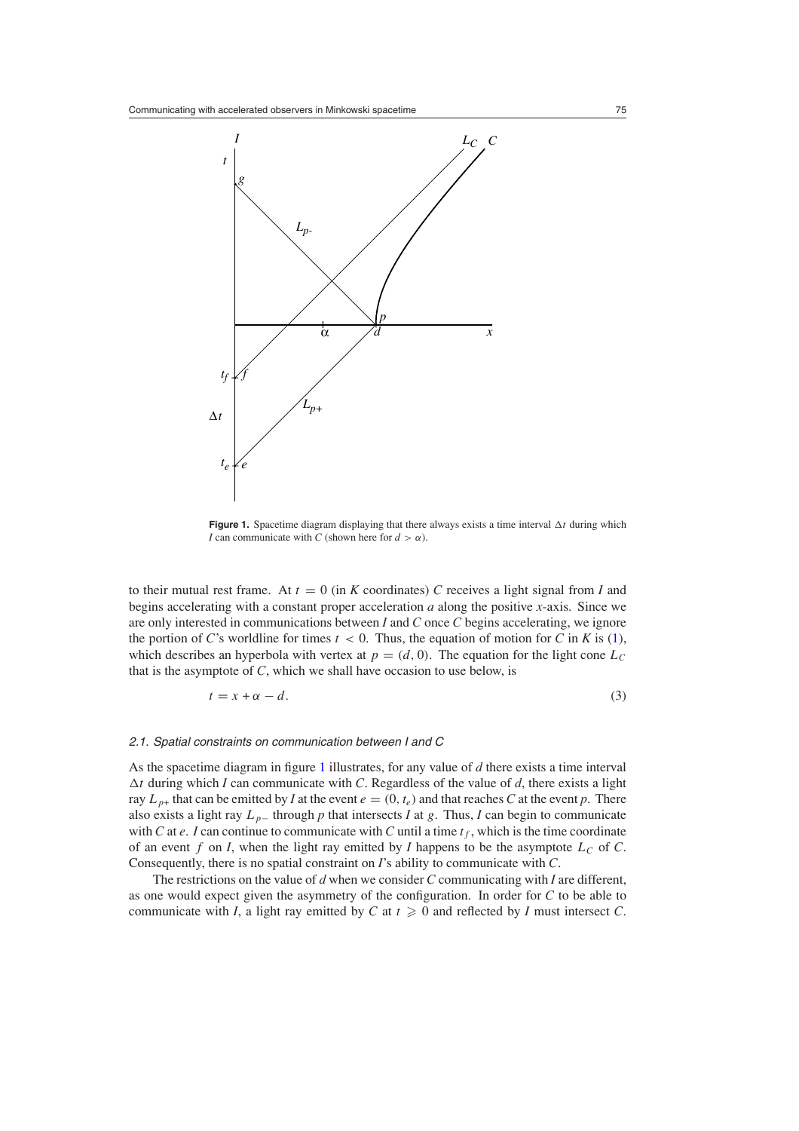<span id="page-2-0"></span>

**Figure 1.** Spacetime diagram displaying that there always exists a time interval  $\Delta t$  during which *I* can communicate with *C* (shown here for  $d > \alpha$ ).

to their mutual rest frame. At  $t = 0$  (in *K* coordinates) *C* receives a light signal from *I* and begins accelerating with a constant proper acceleration *a* along the positive *x*-axis. Since we are only interested in communications between *I* and *C* once *C* begins accelerating, we ignore the portion of *C*'s worldline for times  $t < 0$ . Thus, the equation of motion for *C* in *K* is [\(1\)](#page-1-0), which describes an hyperbola with vertex at  $p = (d, 0)$ . The equation for the light cone  $L_c$ that is the asymptote of *C*, which we shall have occasion to use below, is

$$
t = x + \alpha - d. \tag{3}
$$

#### 2.1. Spatial constraints on communication between I and C

As the spacetime diagram in figure 1 illustrates, for any value of *d* there exists a time interval *�t* during which *I* can communicate with *C*. Regardless of the value of *d*, there exists a light ray  $L_{p+}$  that can be emitted by *I* at the event  $e = (0, t_e)$  and that reaches *C* at the event *p*. There also exists a light ray  $L_p$ – through  $p$  that intersects  $I$  at  $g$ . Thus,  $I$  can begin to communicate with *C* at *e*. *I* can continue to communicate with *C* until a time  $t_f$ , which is the time coordinate of an event  $f$  on  $I$ , when the light ray emitted by  $I$  happens to be the asymptote  $L_C$  of  $C$ . Consequently, there is no spatial constraint on *I*'s ability to communicate with *C*.

The restrictions on the value of *d* when we consider *C* communicating with *I* are different, as one would expect given the asymmetry of the configuration. In order for *C* to be able to communicate with *I*, a light ray emitted by *C* at  $t \ge 0$  and reflected by *I* must intersect *C*.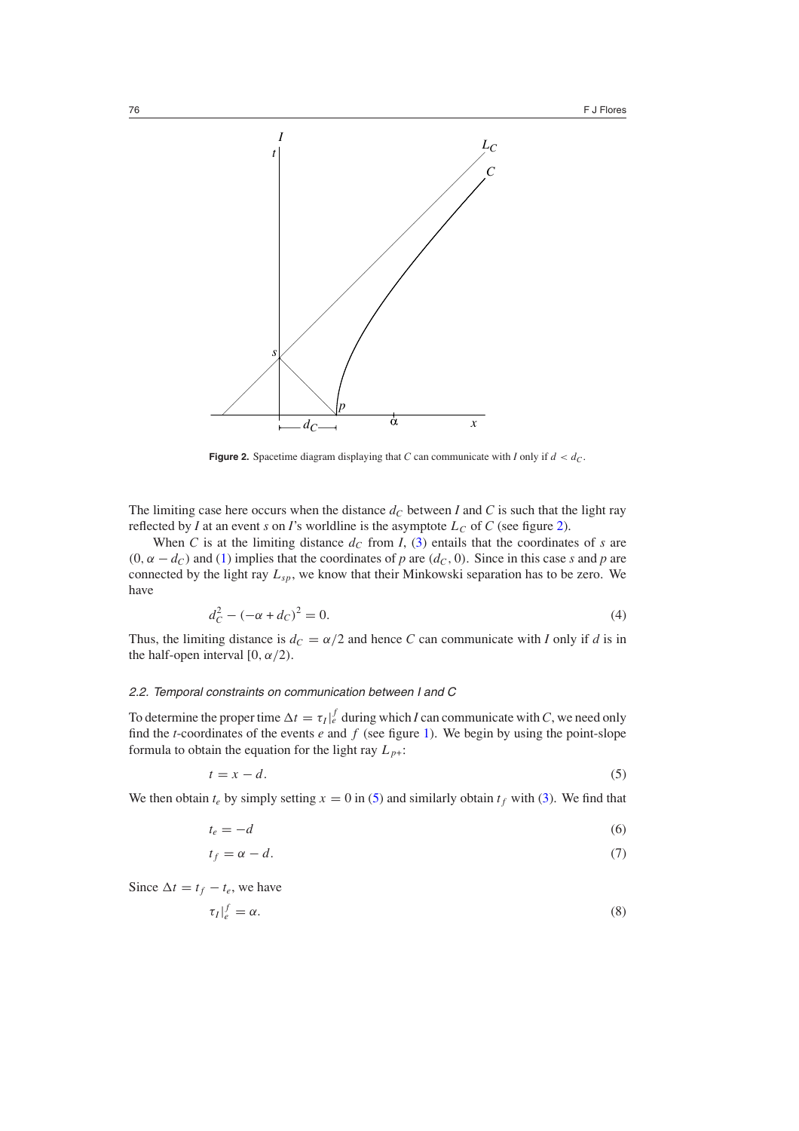<span id="page-3-0"></span>

**Figure 2.** Spacetime diagram displaying that *C* can communicate with *I* only if  $d < d_C$ .

The limiting case here occurs when the distance  $d_C$  between *I* and *C* is such that the light ray reflected by *I* at an event *s* on *I*'s worldline is the asymptote  $L<sub>C</sub>$  of *C* (see figure 2).

When *C* is at the limiting distance  $d_C$  from *I*, [\(3\)](#page-2-0) entails that the coordinates of *s* are  $(0, \alpha - d_C)$  and [\(1\)](#page-1-0) implies that the coordinates of *p* are  $(d_C, 0)$ . Since in this case *s* and *p* are connected by the light ray *Lsp*, we know that their Minkowski separation has to be zero. We have

$$
d_C^2 - (-\alpha + d_C)^2 = 0.
$$
 (4)

Thus, the limiting distance is  $d_C = \alpha/2$  and hence *C* can communicate with *I* only if *d* is in the half-open interval  $[0, \alpha/2)$ .

## 2.2. Temporal constraints on communication between I and C

To determine the proper time  $\Delta t = \tau_I \vert_e^f$  during which *I* can communicate with *C*, we need only find the *t*-coordinates of the events  $e$  and  $f$  (see figure [1\)](#page-2-0). We begin by using the point-slope formula to obtain the equation for the light ray  $L_{p+}$ :

$$
t = x - d.\t\t(5)
$$

We then obtain  $t_e$  by simply setting  $x = 0$  in (5) and similarly obtain  $t_f$  with [\(3\)](#page-2-0). We find that

$$
t_e = -d \tag{6}
$$

$$
t_f = \alpha - d. \tag{7}
$$

Since  $\Delta t = t_f - t_e$ , we have

$$
\tau_I|_e^f = \alpha. \tag{8}
$$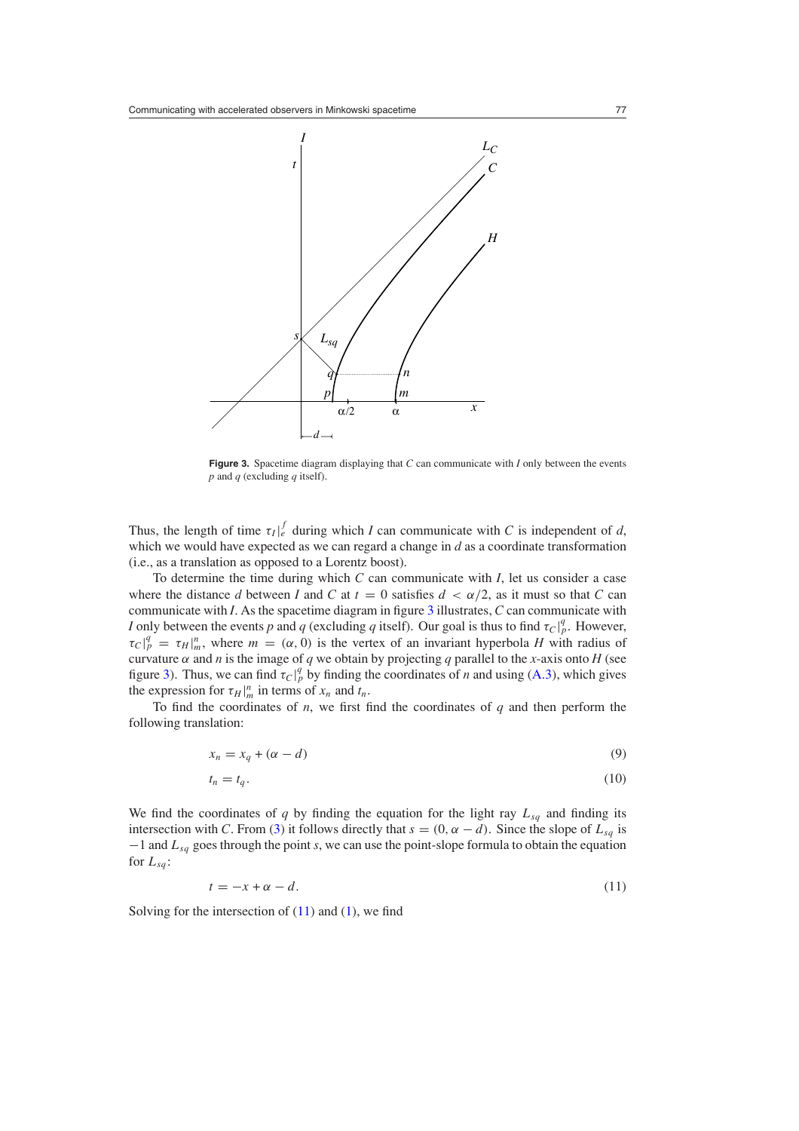<span id="page-4-0"></span>

**Figure 3.** Spacetime diagram displaying that *C* can communicate with *I* only between the events *p* and *q* (excluding *q* itself).

Thus, the length of time  $\tau_I \vert_e^f$  during which *I* can communicate with *C* is independent of *d*, which we would have expected as we can regard a change in *d* as a coordinate transformation (i.e., as a translation as opposed to a Lorentz boost).

To determine the time during which *C* can communicate with *I*, let us consider a case where the distance *d* between *I* and *C* at  $t = 0$  satisfies  $d < \alpha/2$ , as it must so that *C* can communicate with *I*. As the spacetime diagram in figure 3 illustrates, *C* can communicate with *I* only between the events *p* and *q* (excluding *q* itself). Our goal is thus to find  $\tau_C|_p^q$ . However,  $\tau_C|_p^q = \tau_H|_m^q$ , where  $m = (\alpha, 0)$  is the vertex of an invariant hyperbola *H* with radius of curvature  $\alpha$  and *n* is the image of *q* we obtain by projecting *q* parallel to the *x*-axis onto *H* (see *figure 3). Thus, we can find*  $\tau_C|_p^q$  *by finding the coordinates of <i>n* and using [\(A](#page-11-0).3), which gives the expression for  $\tau_H|_m^n$  in terms of  $x_n$  and  $t_n$ .

To find the coordinates of *n*, we first find the coordinates of *q* and then perform the following translation:

$$
x_n = x_q + (\alpha - d) \tag{9}
$$

$$
t_n = t_q. \tag{10}
$$

We find the coordinates of  $q$  by finding the equation for the light ray  $L_{sq}$  and finding its intersection with *C*. From [\(3\)](#page-2-0) it follows directly that  $s = (0, \alpha - d)$ . Since the slope of  $L_{sq}$  is −1 and *Lsq* goes through the point *s*, we can use the point-slope formula to obtain the equation for  $L_{sa}$ :

$$
t = -x + \alpha - d. \tag{11}
$$

Solving for the intersection of  $(11)$  and  $(1)$ , we find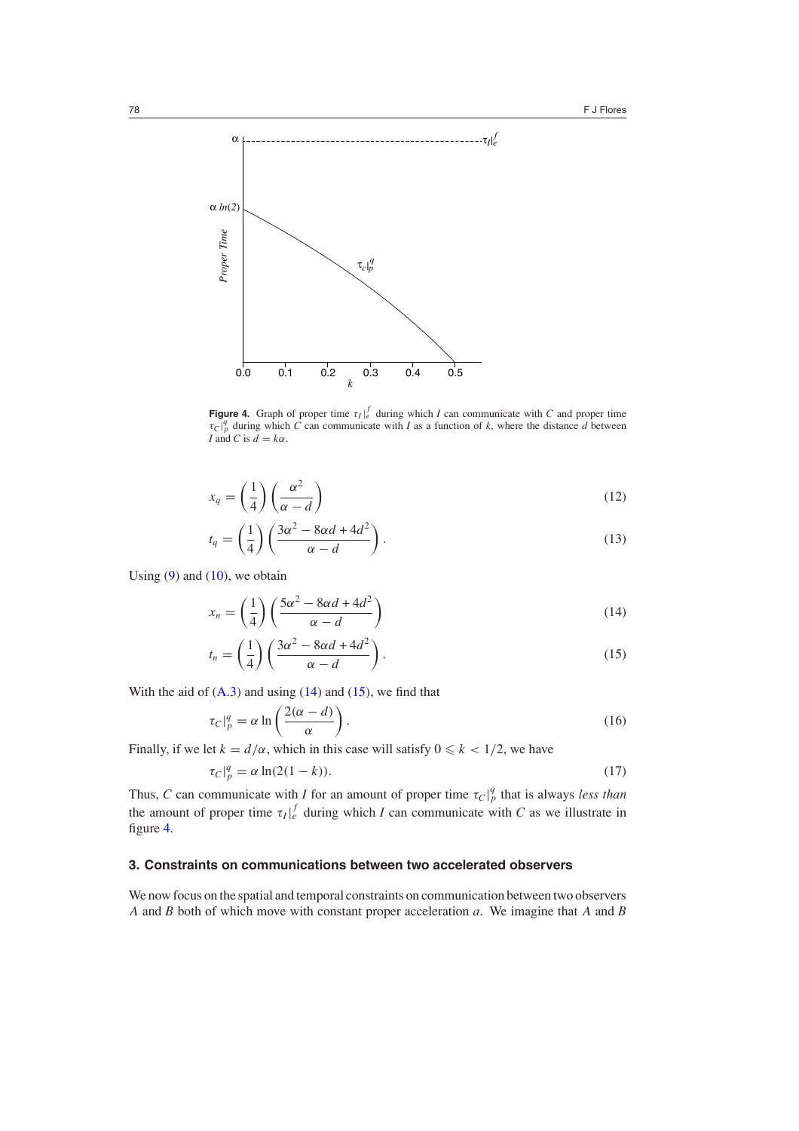

**Figure 4.** Graph of proper time  $\tau_I \vert_e^f$  during which *I* can communicate with *C* and proper time  $\tau_C|_p^q$  during which *C* can communicate with *I* as a function of *k*, where the distance *d* between *I* and *C* is  $\overline{d} = k\alpha$ .

$$
x_q = \left(\frac{1}{4}\right) \left(\frac{\alpha^2}{\alpha - d}\right) \tag{12}
$$

$$
t_q = \left(\frac{1}{4}\right) \left(\frac{3\alpha^2 - 8\alpha d + 4d^2}{\alpha - d}\right). \tag{13}
$$

Using  $(9)$  and  $(10)$ , we obtain

$$
x_n = \left(\frac{1}{4}\right) \left(\frac{5\alpha^2 - 8\alpha d + 4d^2}{\alpha - d}\right) \tag{14}
$$

$$
t_n = \left(\frac{1}{4}\right) \left(\frac{3\alpha^2 - 8\alpha d + 4d^2}{\alpha - d}\right). \tag{15}
$$

With the aid of  $(A.3)$  $(A.3)$  and using  $(14)$  and  $(15)$ , we find that

$$
\tau_C|_p^q = \alpha \ln \left( \frac{2(\alpha - d)}{\alpha} \right). \tag{16}
$$

Finally, if we let  $k = d/\alpha$ , which in this case will satisfy  $0 \le k < 1/2$ , we have

$$
\tau_C|_p^q = \alpha \ln(2(1-k)).\tag{17}
$$

Thus, *C* can communicate with *I* for an amount of proper time  $\tau_C|_p^q$  that is always *less than* the amount of proper time  $\tau_I \vert_{e}^f$  during which *I* can communicate with *C* as we illustrate in figure 4.

# **3. Constraints on communications between two accelerated observers**

We now focus on the spatial and temporal constraints on communication between two observers *A* and *B* both of which move with constant proper acceleration *a*. We imagine that *A* and *B*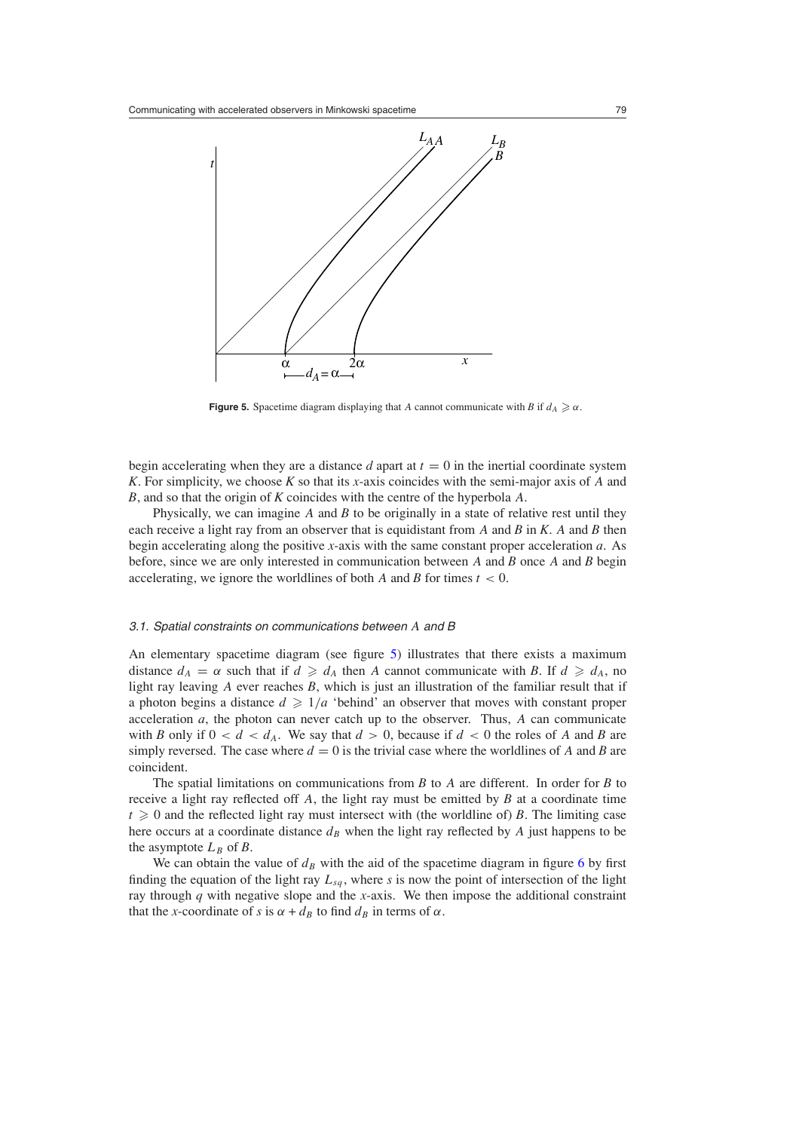

**Figure 5.** Spacetime diagram displaying that *A* cannot communicate with *B* if  $d_A \geq \alpha$ .

begin accelerating when they are a distance  $d$  apart at  $t = 0$  in the inertial coordinate system *K*. For simplicity, we choose *K* so that its *x*-axis coincides with the semi-major axis of *A* and *B*, and so that the origin of *K* coincides with the centre of the hyperbola *A*.

Physically, we can imagine *A* and *B* to be originally in a state of relative rest until they each receive a light ray from an observer that is equidistant from *A* and *B* in *K*. *A* and *B* then begin accelerating along the positive *x*-axis with the same constant proper acceleration *a*. As before, since we are only interested in communication between *A* and *B* once *A* and *B* begin accelerating, we ignore the worldlines of both *A* and *B* for times *t <* 0.

#### 3.1. Spatial constraints on communications between *A* and B

An elementary spacetime diagram (see figure 5) illustrates that there exists a maximum distance  $d_A = \alpha$  such that if  $d \geq d_A$  then *A* cannot communicate with *B*. If  $d \geq d_A$ , no light ray leaving *A* ever reaches *B*, which is just an illustration of the familiar result that if a photon begins a distance  $d \geq 1/a$  'behind' an observer that moves with constant proper acceleration *a*, the photon can never catch up to the observer. Thus, *A* can communicate with *B* only if  $0 < d < d_A$ . We say that  $d > 0$ , because if  $d < 0$  the roles of *A* and *B* are simply reversed. The case where  $d = 0$  is the trivial case where the worldlines of A and B are coincident.

The spatial limitations on communications from *B* to *A* are different. In order for *B* to receive a light ray reflected off *A*, the light ray must be emitted by *B* at a coordinate time  $t \geq 0$  and the reflected light ray must intersect with (the worldline of) *B*. The limiting case here occurs at a coordinate distance  $d_B$  when the light ray reflected by *A* just happens to be the asymptote  $L_B$  of  $B$ .

We can obtain the value of  $d_B$  with the aid of the spacetime diagram in figure [6](#page-7-0) by first finding the equation of the light ray  $L_{sq}$ , where  $s$  is now the point of intersection of the light ray through *q* with negative slope and the *x*-axis. We then impose the additional constraint that the *x*-coordinate of *s* is  $\alpha + d_B$  to find  $d_B$  in terms of  $\alpha$ .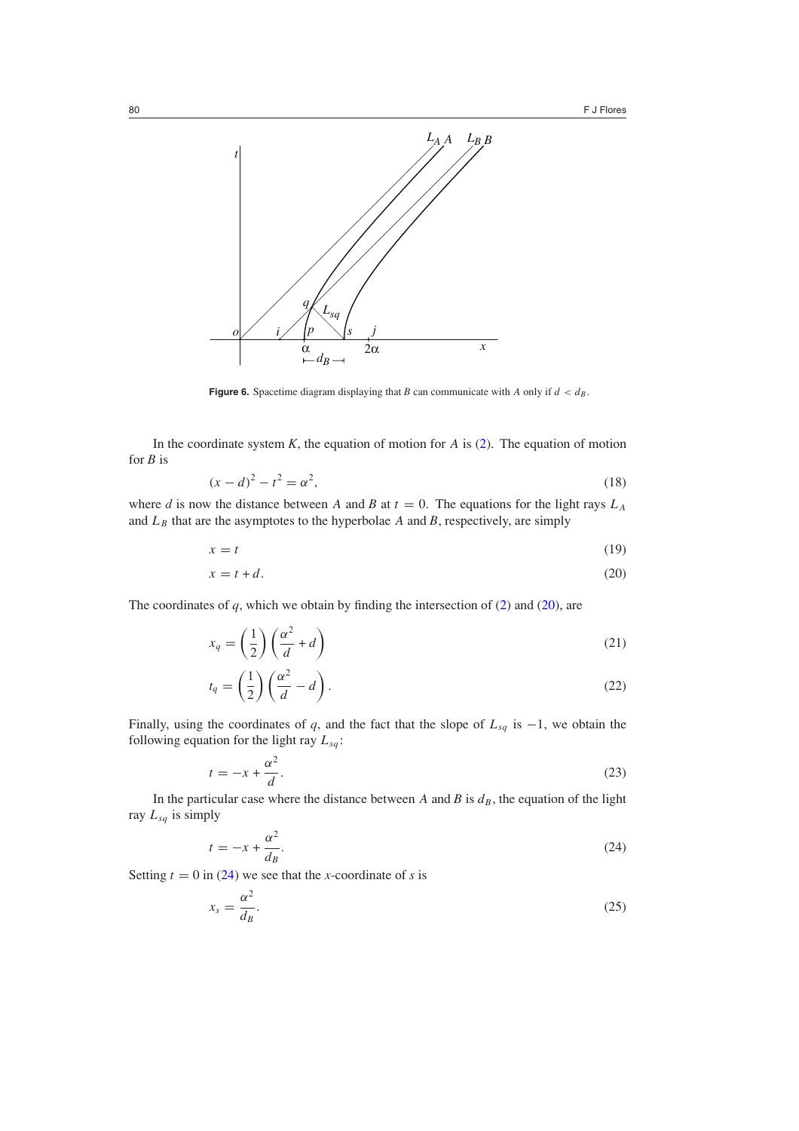<span id="page-7-0"></span>

**Figure 6.** Spacetime diagram displaying that *B* can communicate with *A* only if  $d < d_B$ .

In the coordinate system  $K$ , the equation of motion for  $A$  is [\(2\)](#page-1-0). The equation of motion for *B* is

$$
(x - d)^2 - t^2 = \alpha^2,
$$
\n(18)

where *d* is now the distance between *A* and *B* at  $t = 0$ . The equations for the light rays  $L_A$ and  $L_B$  that are the asymptotes to the hyperbolae  $A$  and  $B$ , respectively, are simply

$$
x = t \tag{19}
$$

$$
x = t + d.\t\t(20)
$$

The coordinates of  $q$ , which we obtain by finding the intersection of  $(2)$  and  $(20)$ , are

$$
x_q = \left(\frac{1}{2}\right) \left(\frac{\alpha^2}{d} + d\right) \tag{21}
$$

$$
t_q = \left(\frac{1}{2}\right) \left(\frac{\alpha^2}{d} - d\right). \tag{22}
$$

Finally, using the coordinates of *q*, and the fact that the slope of  $L_{sq}$  is  $-1$ , we obtain the following equation for the light ray  $L_{sq}$ :

$$
t = -x + \frac{\alpha^2}{d}.\tag{23}
$$

In the particular case where the distance between *A* and *B* is  $d<sub>B</sub>$ , the equation of the light ray  $L_{sg}$  is simply

$$
t = -x + \frac{\alpha^2}{d_B}.\tag{24}
$$

Setting  $t = 0$  in (24) we see that the *x*-coordinate of *s* is

$$
x_s = \frac{\alpha^2}{d_B}.\tag{25}
$$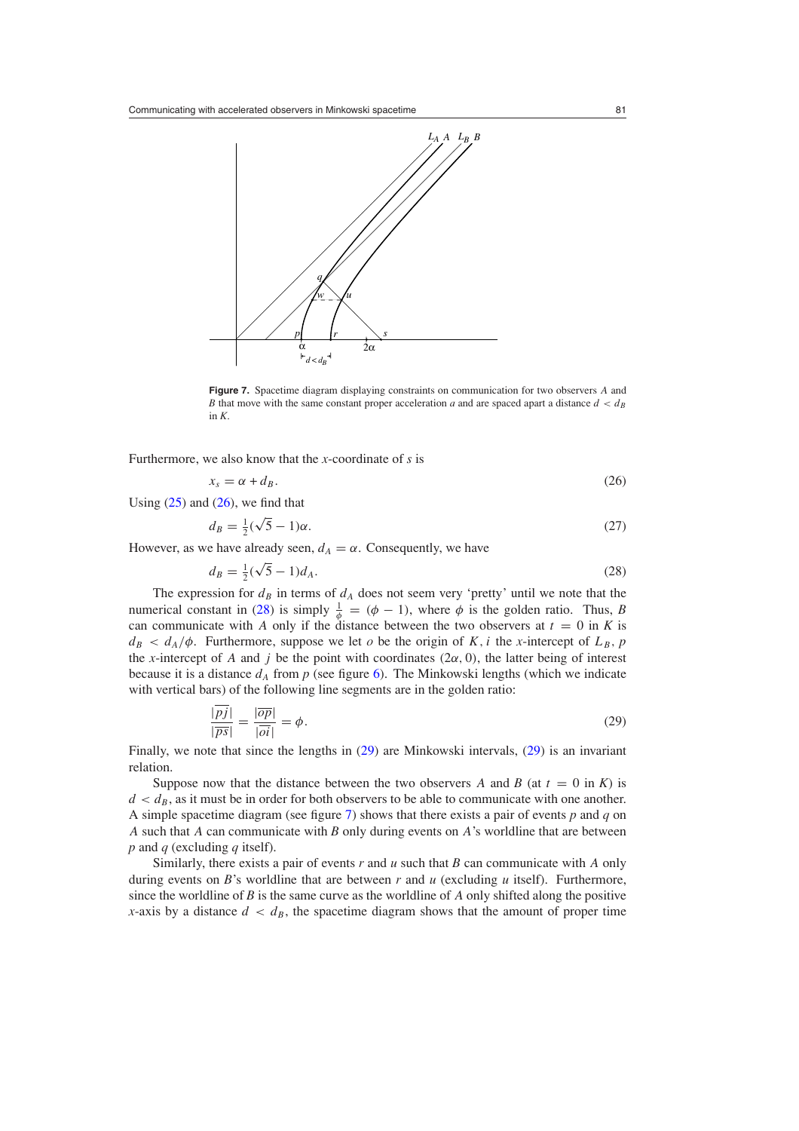<span id="page-8-0"></span>

**Figure 7.** Spacetime diagram displaying constraints on communication for two observers *A* and *B* that move with the same constant proper acceleration *a* and are spaced apart a distance  $d < d_B$ in *K*.

Furthermore, we also know that the *x*-coordinate of *s* is

$$
x_s = \alpha + d_B. \tag{26}
$$

Using  $(25)$  and  $(26)$ , we find that

$$
d_B = \frac{1}{2}(\sqrt{5} - 1)\alpha. \tag{27}
$$

However, as we have already seen,  $d_A = \alpha$ . Consequently, we have

$$
d_B = \frac{1}{2}(\sqrt{5} - 1)d_A.
$$
 (28)

The expression for  $d_B$  in terms of  $d_A$  does not seem very 'pretty' until we note that the numerical constant in (28) is simply  $\frac{1}{\phi} = (\phi - 1)$ , where  $\phi$  is the golden ratio. Thus, *B* can communicate with *A* only if the distance between the two observers at  $t = 0$  in *K* is  $d_B < d_A/\phi$ . Furthermore, suppose we let *o* be the origin of *K*, *i* the *x*-intercept of  $L_B$ , *p* the *x*-intercept of *A* and *j* be the point with coordinates  $(2\alpha, 0)$ , the latter being of interest because it is a distance  $d_A$  from p (see figure [6\)](#page-7-0). The Minkowski lengths (which we indicate with vertical bars) of the following line segments are in the golden ratio:

$$
\frac{|pj|}{|\overline{ps}|} = \frac{|\overline{op}|}{|\overline{oi}|} = \phi.
$$
\n(29)

Finally, we note that since the lengths in (29) are Minkowski intervals, (29) is an invariant relation.

Suppose now that the distance between the two observers *A* and *B* (at  $t = 0$  in *K*) is  $d < d<sub>B</sub>$ , as it must be in order for both observers to be able to communicate with one another. A simple spacetime diagram (see figure 7) shows that there exists a pair of events *p* and *q* on *A* such that *A* can communicate with *B* only during events on *A*'s worldline that are between *p* and *q* (excluding *q* itself).

Similarly, there exists a pair of events *r* and *u* such that *B* can communicate with *A* only during events on *B*'s worldline that are between *r* and *u* (excluding *u* itself). Furthermore, since the worldline of *B* is the same curve as the worldline of *A* only shifted along the positive *x*-axis by a distance  $d < d_B$ , the spacetime diagram shows that the amount of proper time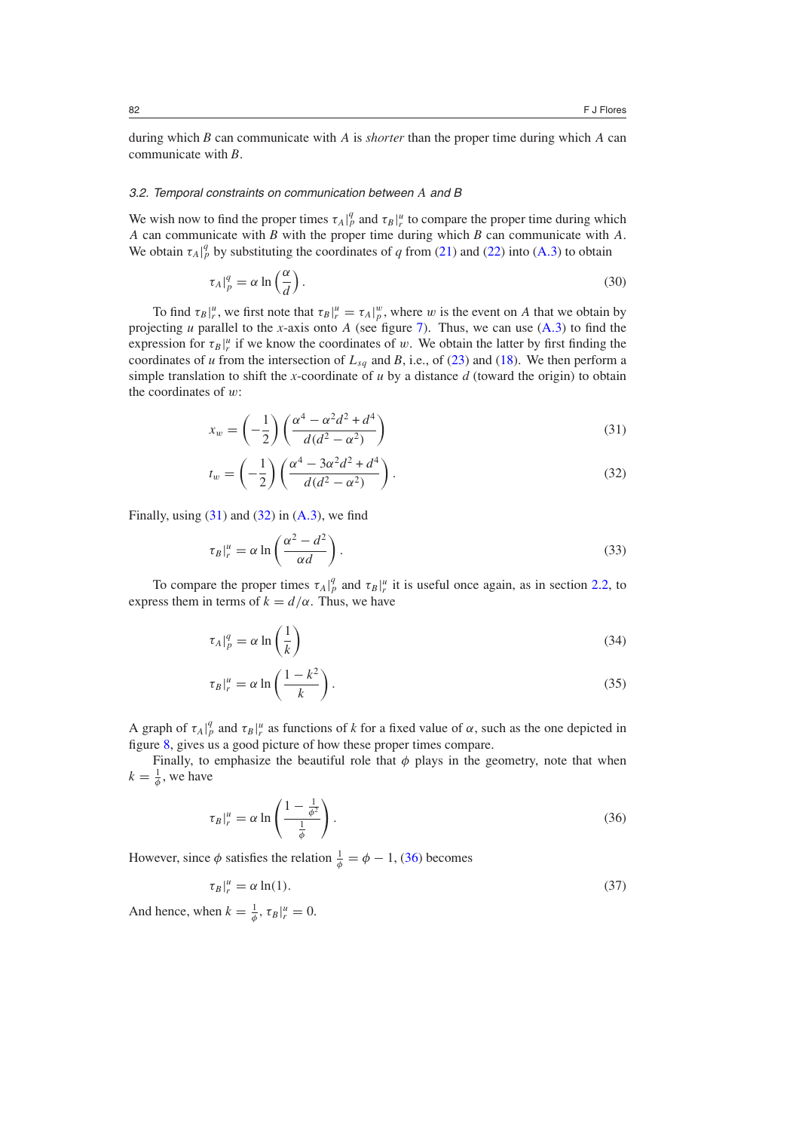during which *B* can communicate with *A* is *shorter* than the proper time during which *A* can communicate with *B*.

#### 3.2. Temporal constraints on communication between *A* and B

We wish now to find the proper times  $\tau_A|_p^q$  and  $\tau_B|_r^u$  to compare the proper time during which *A* can communicate with *B* with the proper time during which *B* can communicate with *A*. We obtain  $\tau_A|_p^q$  by substituting the coordinates of *q* from [\(21\)](#page-7-0) and [\(22\)](#page-7-0) into [\(A](#page-11-0).3) to obtain

$$
\tau_A|_p^q = \alpha \ln\left(\frac{\alpha}{d}\right). \tag{30}
$$

To find  $\tau_B|_r^u$ , we first note that  $\tau_B|_r^u = \tau_A|_p^w$ , where *w* is the event on *A* that we obtain by projecting *u* parallel to the *x*-axis onto *A* (see figure [7\)](#page-8-0). Thus, we can use [\(A](#page-11-0)*.*3) to find the expression for  $\tau_B|_r^u$  if we know the coordinates of *w*. We obtain the latter by first finding the coordinates of *u* from the intersection of  $L_{sq}$  and *B*, i.e., of [\(23\)](#page-7-0) and [\(18\)](#page-7-0). We then perform a simple translation to shift the *x*-coordinate of *u* by a distance *d* (toward the origin) to obtain the coordinates of *w*:

$$
x_w = \left(-\frac{1}{2}\right) \left(\frac{\alpha^4 - \alpha^2 d^2 + d^4}{d(d^2 - \alpha^2)}\right)
$$
\n(31)

$$
t_w = \left(-\frac{1}{2}\right) \left(\frac{\alpha^4 - 3\alpha^2 d^2 + d^4}{d(d^2 - \alpha^2)}\right).
$$
 (32)

Finally, using (31) and (32) in [\(A](#page-11-0)*.*3), we find

$$
\tau_B|_{r}^{\mu} = \alpha \ln \left( \frac{\alpha^2 - d^2}{\alpha d} \right). \tag{33}
$$

To compare the proper times  $\tau_A|_p^q$  and  $\tau_B|_r^u$  it is useful once again, as in section [2.2,](#page-3-0) to express them in terms of  $k = d/\alpha$ . Thus, we have

$$
\tau_A|_p^q = \alpha \ln\left(\frac{1}{k}\right) \tag{34}
$$

$$
\tau_B|_{r}^{\mu} = \alpha \ln \left( \frac{1 - k^2}{k} \right). \tag{35}
$$

A graph of  $\tau_A|_p^q$  and  $\tau_B|_r^u$  as functions of *k* for a fixed value of  $\alpha$ , such as the one depicted in figure [8,](#page-10-0) gives us a good picture of how these proper times compare.

Finally, to emphasize the beautiful role that  $\phi$  plays in the geometry, note that when  $k = \frac{1}{\phi}$ , we have

$$
\tau_B|_{r}^{u} = \alpha \ln \left( \frac{1 - \frac{1}{\phi^2}}{\frac{1}{\phi}} \right). \tag{36}
$$

However, since  $\phi$  satisfies the relation  $\frac{1}{\phi} = \phi - 1$ , (36) becomes

$$
\tau_B|_{r}^{u} = \alpha \ln(1). \tag{37}
$$

And hence, when  $k = \frac{1}{\phi}, \tau_B|_{r}^{u} = 0$ .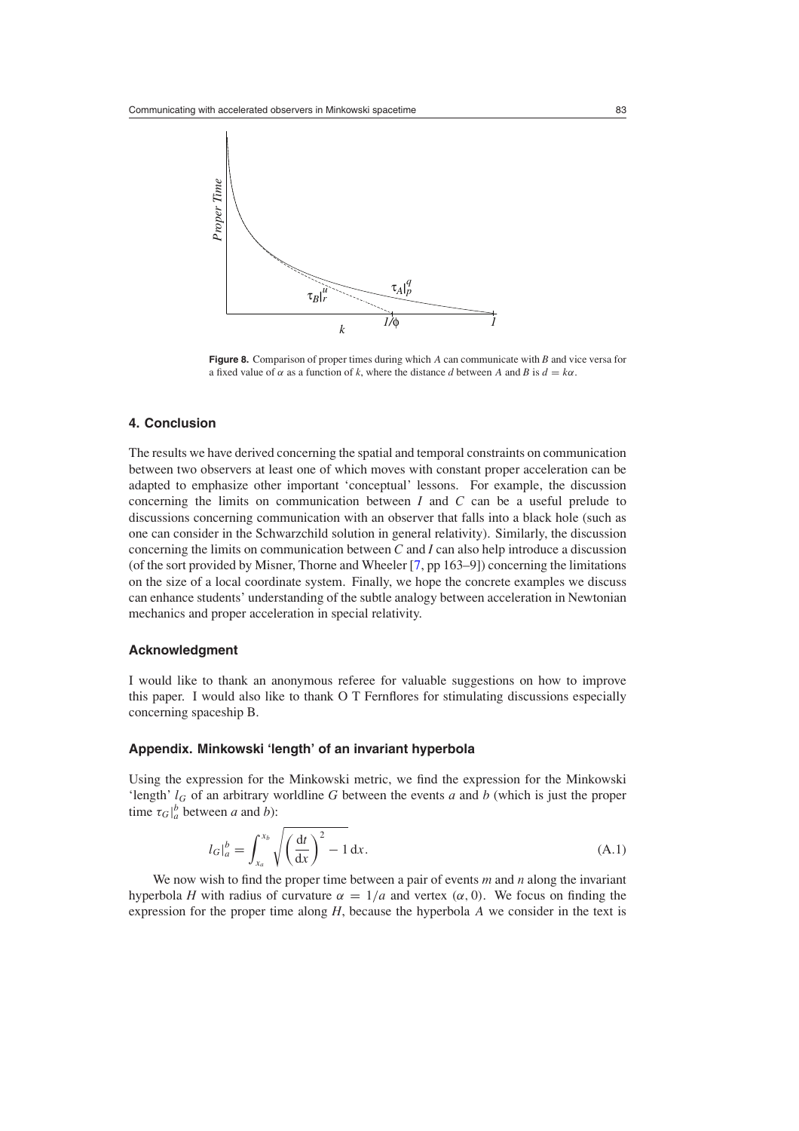<span id="page-10-0"></span>

**Figure 8.** Comparison of proper times during which *A* can communicate with *B* and vice versa for a fixed value of  $\alpha$  as a function of k, where the distance d between A and B is  $d = k\alpha$ .

## **4. Conclusion**

The results we have derived concerning the spatial and temporal constraints on communication between two observers at least one of which moves with constant proper acceleration can be adapted to emphasize other important 'conceptual' lessons. For example, the discussion concerning the limits on communication between *I* and *C* can be a useful prelude to discussions concerning communication with an observer that falls into a black hole (such as one can consider in the Schwarzchild solution in general relativity). Similarly, the discussion concerning the limits on communication between *C* and *I* can also help introduce a discussion (of the sort provided by Misner, Thorne and Wheeler [\[7](#page-11-0), pp 163–9]) concerning the limitations on the size of a local coordinate system. Finally, we hope the concrete examples we discuss can enhance students' understanding of the subtle analogy between acceleration in Newtonian mechanics and proper acceleration in special relativity.

## **Acknowledgment**

I would like to thank an anonymous referee for valuable suggestions on how to improve this paper. I would also like to thank O T Fernflores for stimulating discussions especially concerning spaceship B.

## **Appendix. Minkowski 'length' of an invariant hyperbola**

Using the expression for the Minkowski metric, we find the expression for the Minkowski 'length'  $l_G$  of an arbitrary worldline  $G$  between the events  $a$  and  $b$  (which is just the proper time  $\tau_G|_a^b$  between *a* and *b*):

$$
l_G|_a^b = \int_{x_a}^{x_b} \sqrt{\left(\frac{\mathrm{d}t}{\mathrm{d}x}\right)^2 - 1} \,\mathrm{d}x. \tag{A.1}
$$

We now wish to find the proper time between a pair of events *m* and *n* along the invariant hyperbola *H* with radius of curvature  $\alpha = 1/a$  and vertex  $(\alpha, 0)$ . We focus on finding the expression for the proper time along *H*, because the hyperbola *A* we consider in the text is